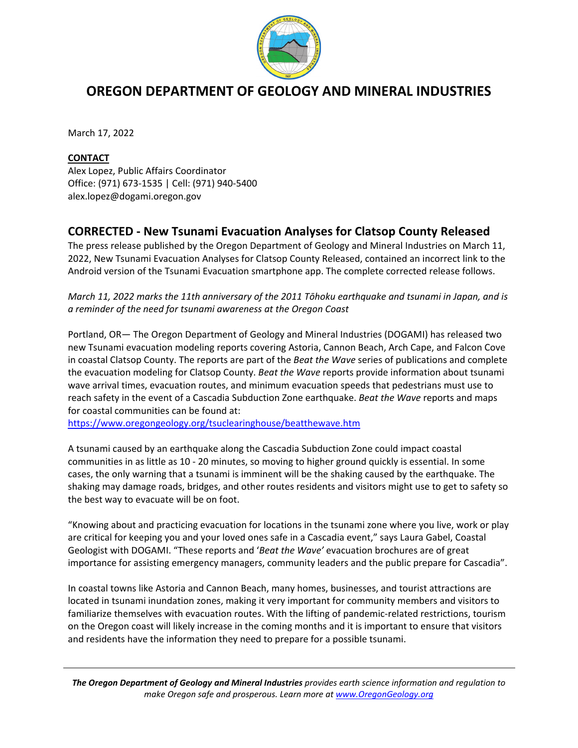

## **OREGON DEPARTMENT OF GEOLOGY AND MINERAL INDUSTRIES**

March 17, 2022

## **CONTACT**

Alex Lopez, Public Affairs Coordinator Office: (971) 673-1535 | Cell: (971) 940-5400 alex.lopez@dogami.oregon.gov

## **CORRECTED - New Tsunami Evacuation Analyses for Clatsop County Released**

The press release published by the Oregon Department of Geology and Mineral Industries on March 11, 2022, New Tsunami Evacuation Analyses for Clatsop County Released, contained an incorrect link to the Android version of the Tsunami Evacuation smartphone app. The complete corrected release follows.

## *March 11, 2022 marks the 11th anniversary of the 2011 Tōhoku earthquake and tsunami in Japan, and is a reminder of the need for tsunami awareness at the Oregon Coast*

Portland, OR— The Oregon Department of Geology and Mineral Industries (DOGAMI) has released two new Tsunami evacuation modeling reports covering Astoria, Cannon Beach, Arch Cape, and Falcon Cove in coastal Clatsop County. The reports are part of the *Beat the Wave* series of publications and complete the evacuation modeling for Clatsop County. *Beat the Wave* reports provide information about tsunami wave arrival times, evacuation routes, and minimum evacuation speeds that pedestrians must use to reach safety in the event of a Cascadia Subduction Zone earthquake. *Beat the Wave* reports and maps for coastal communities can be found at:

<https://www.oregongeology.org/tsuclearinghouse/beatthewave.htm>

A tsunami caused by an earthquake along the Cascadia Subduction Zone could impact coastal communities in as little as 10 - 20 minutes, so moving to higher ground quickly is essential. In some cases, the only warning that a tsunami is imminent will be the shaking caused by the earthquake. The shaking may damage roads, bridges, and other routes residents and visitors might use to get to safety so the best way to evacuate will be on foot.

"Knowing about and practicing evacuation for locations in the tsunami zone where you live, work or play are critical for keeping you and your loved ones safe in a Cascadia event," says Laura Gabel, Coastal Geologist with DOGAMI. "These reports and '*Beat the Wave'* evacuation brochures are of great importance for assisting emergency managers, community leaders and the public prepare for Cascadia".

In coastal towns like Astoria and Cannon Beach, many homes, businesses, and tourist attractions are located in tsunami inundation zones, making it very important for community members and visitors to familiarize themselves with evacuation routes. With the lifting of pandemic-related restrictions, tourism on the Oregon coast will likely increase in the coming months and it is important to ensure that visitors and residents have the information they need to prepare for a possible tsunami.

*The Oregon Department of Geology and Mineral Industries provides earth science information and regulation to make Oregon safe and prosperous. Learn more a[t www.OregonGeology.org](http://www.oregongeology.org/)*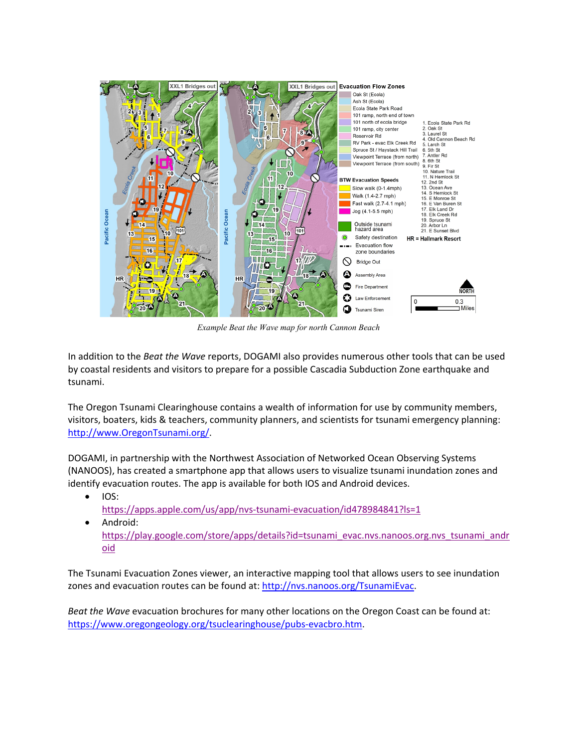

*Example Beat the Wave map for north Cannon Beach*

In addition to the *Beat the Wave* reports, DOGAMI also provides numerous other tools that can be used by coastal residents and visitors to prepare for a possible Cascadia Subduction Zone earthquake and tsunami.

The Oregon Tsunami Clearinghouse contains a wealth of information for use by community members, visitors, boaters, kids & teachers, community planners, and scientists for tsunami emergency planning: [http://www.OregonTsunami.org/.](http://www.oregontsunami.org/)

DOGAMI, in partnership with the Northwest Association of Networked Ocean Observing Systems (NANOOS), has created a smartphone app that allows users to visualize tsunami inundation zones and identify evacuation routes. The app is available for both IOS and Android devices.

- IOS: <https://apps.apple.com/us/app/nvs-tsunami-evacuation/id478984841?ls=1>
- Android: [https://play.google.com/store/apps/details?id=tsunami\\_evac.nvs.nanoos.org.nvs\\_tsunami\\_andr](https://play.google.com/store/apps/details?id=tsunami_evac.nvs.nanoos.org.nvs_tsunami_android) [oid](https://play.google.com/store/apps/details?id=tsunami_evac.nvs.nanoos.org.nvs_tsunami_android)

The Tsunami Evacuation Zones viewer, an interactive mapping tool that allows users to see inundation zones and evacuation routes can be found at: [http://nvs.nanoos.org/TsunamiEvac.](http://nvs.nanoos.org/TsunamiEvac)

*Beat the Wave* evacuation brochures for many other locations on the Oregon Coast can be found at: [https://www.oregongeology.org/tsuclearinghouse/pubs-evacbro.htm.](https://www.oregongeology.org/tsuclearinghouse/pubs-evacbro.htm)